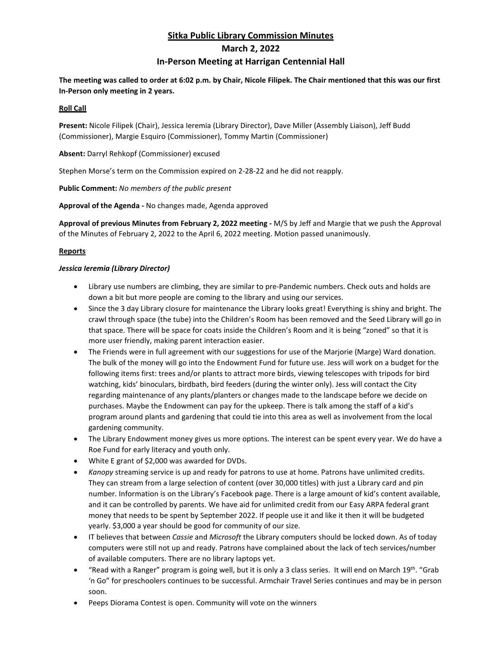# **Sitka Public Library Commission Minutes March 2, 2022 In-Person Meeting at Harrigan Centennial Hall**

**The meeting was called to order at 6:02 p.m. by Chair, Nicole Filipek. The Chair mentioned that this was our first In-Person only meeting in 2 years.**

## **Roll Call**

**Present:** Nicole Filipek (Chair), Jessica Ieremia (Library Director), Dave Miller (Assembly Liaison), Jeff Budd (Commissioner), Margie Esquiro (Commissioner), Tommy Martin (Commissioner)

**Absent:** Darryl Rehkopf (Commissioner) excused

Stephen Morse's term on the Commission expired on 2-28-22 and he did not reapply.

**Public Comment:** *No members of the public present*

**Approval of the Agenda -** No changes made, Agenda approved

**Approval of previous Minutes from February 2, 2022 meeting -** M/S by Jeff and Margie that we push the Approval of the Minutes of February 2, 2022 to the April 6, 2022 meeting. Motion passed unanimously.

# **Reports**

## *Jessica Ieremia (Library Director)*

- Library use numbers are climbing, they are similar to pre-Pandemic numbers. Check outs and holds are down a bit but more people are coming to the library and using our services.
- Since the 3 day Library closure for maintenance the Library looks great! Everything is shiny and bright. The crawl through space (the tube) into the Children's Room has been removed and the Seed Library will go in that space. There will be space for coats inside the Children's Room and it is being "zoned" so that it is more user friendly, making parent interaction easier.
- The Friends were in full agreement with our suggestions for use of the Marjorie (Marge) Ward donation. The bulk of the money will go into the Endowment Fund for future use. Jess will work on a budget for the following items first: trees and/or plants to attract more birds, viewing telescopes with tripods for bird watching, kids' binoculars, birdbath, bird feeders (during the winter only). Jess will contact the City regarding maintenance of any plants/planters or changes made to the landscape before we decide on purchases. Maybe the Endowment can pay for the upkeep. There is talk among the staff of a kid's program around plants and gardening that could tie into this area as well as involvement from the local gardening community.
- The Library Endowment money gives us more options. The interest can be spent every year. We do have a Roe Fund for early literacy and youth only.
- White E grant of \$2,000 was awarded for DVDs.
- *Kanopy* streaming service is up and ready for patrons to use at home. Patrons have unlimited credits. They can stream from a large selection of content (over 30,000 titles) with just a Library card and pin number. Information is on the Library's Facebook page. There is a large amount of kid's content available, and it can be controlled by parents. We have aid for unlimited credit from our Easy ARPA federal grant money that needs to be spent by September 2022. If people use it and like it then it will be budgeted yearly. \$3,000 a year should be good for community of our size.
- IT believes that between *Cassie* and *Microsoft* the Library computers should be locked down. As of today computers were still not up and ready. Patrons have complained about the lack of tech services/number of available computers. There are no library laptops yet.
- "Read with a Ranger" program is going well, but it is only a 3 class series. It will end on March 19<sup>th</sup>. "Grab 'n Go" for preschoolers continues to be successful. Armchair Travel Series continues and may be in person soon.
- Peeps Diorama Contest is open. Community will vote on the winners